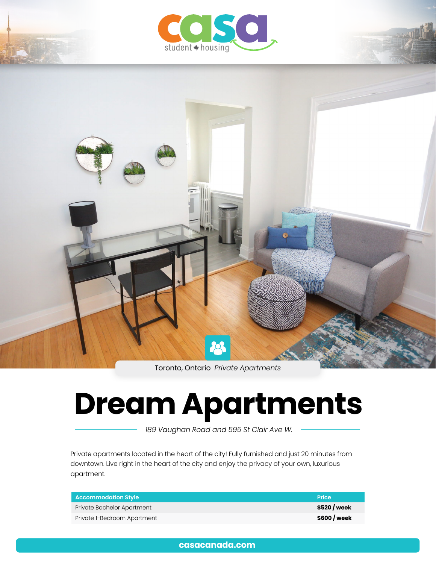



Toronto, Ontario *Private Apartments*

# **Dream Apartments**

 *189 Vaughan Road and 595 St Clair Ave W.*

Private apartments located in the heart of the city! Fully furnished and just 20 minutes from downtown. Live right in the heart of the city and enjoy the privacy of your own, luxurious apartment.

| <b>Accommodation Style</b>         | <b>Price</b> |
|------------------------------------|--------------|
| Private Bachelor Apartment         | \$520 / week |
| Private <i>I-Bedroom Apartment</i> | \$600 / week |